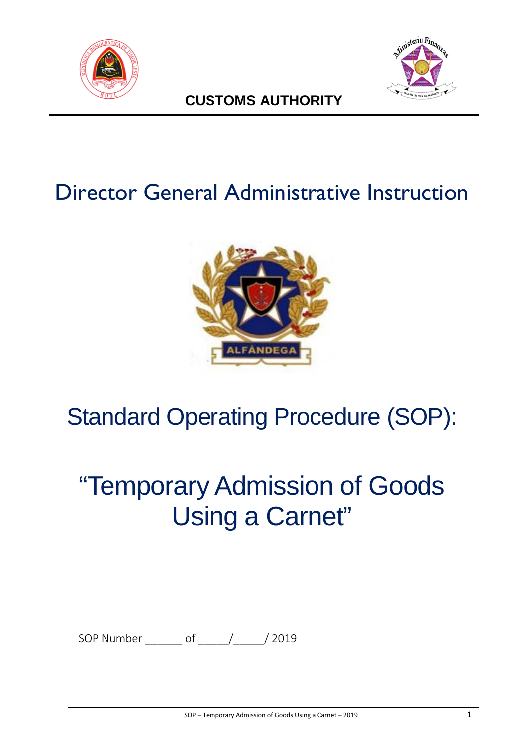



# **CUSTOMS AUTHORITY**

# Director General Administrative Instruction



# Standard Operating Procedure (SOP):

# "Temporary Admission of Goods Using a Carnet"

SOP Number \_\_\_\_\_\_ of \_\_\_\_\_/\_\_\_\_\_/ 2019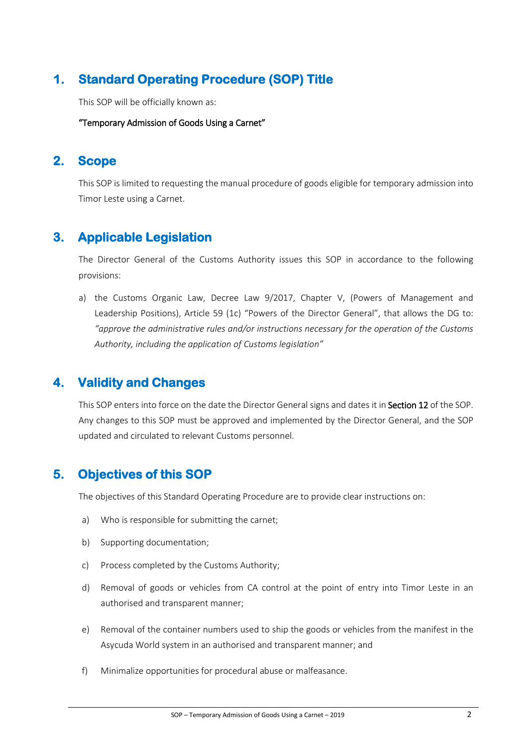## **1. Standard Operating Procedure (SOP) Title**

This SOP will be officially known as:

"Temporary Admission of Goods Using a Carnet"

## **2. Scope**

This SOP is limited to requesting the manual procedure of goods eligible for temporary admission into Timor Leste using a Carnet.

## **3. Applicable Legislation**

The Director General of the Customs Authority issues this SOP in accordance to the following provisions:

a) the Customs Organic Law, Decree Law 9/2017, Chapter V, (Powers of Management and Leadership Positions), Article 59 (1c) "Powers of the Director General", that allows the DG to: *"approve the administrative rules and/or instructions necessary for the operation of the Customs Authority, including the application of Customs legislation"*

## **4. Validity and Changes**

This SOP enters into force on the date the Director General signs and dates it in Section 12 of the SOP. Any changes to this SOP must be approved and implemented by the Director General, and the SOP updated and circulated to relevant Customs personnel.

## **5. Objectives of this SOP**

The objectives of this Standard Operating Procedure are to provide clear instructions on:

- a) Who is responsible for submitting the carnet;
- b) Supporting documentation;
- c) Process completed by the Customs Authority;
- d) Removal of goods or vehicles from CA control at the point of entry into Timor Leste in an authorised and transparent manner;
- e) Removal of the container numbers used to ship the goods or vehicles from the manifest in the Asycuda World system in an authorised and transparent manner; and
- f) Minimalize opportunities for procedural abuse or malfeasance.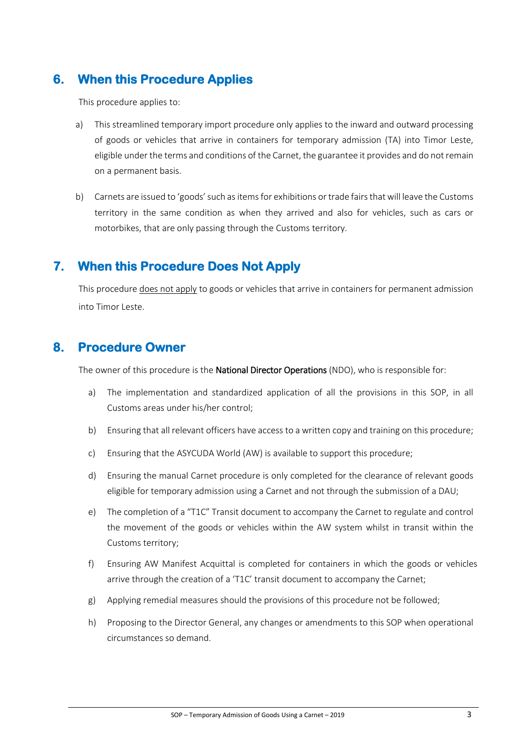## **6. When this Procedure Applies**

This procedure applies to:

- a) This streamlined temporary import procedure only applies to the inward and outward processing of goods or vehicles that arrive in containers for temporary admission (TA) into Timor Leste, eligible under the terms and conditions of the Carnet, the guarantee it provides and do not remain on a permanent basis.
- b) Carnets are issued to 'goods' such as items for exhibitions or trade fairs that will leave the Customs territory in the same condition as when they arrived and also for vehicles, such as cars or motorbikes, that are only passing through the Customs territory.

## **7. When this Procedure Does Not Apply**

This procedure does not apply to goods or vehicles that arrive in containers for permanent admission into Timor Leste.

## **8. Procedure Owner**

The owner of this procedure is the **National Director Operations** (NDO), who is responsible for:

- a) The implementation and standardized application of all the provisions in this SOP, in all Customs areas under his/her control;
- b) Ensuring that all relevant officers have access to a written copy and training on this procedure;
- c) Ensuring that the ASYCUDA World (AW) is available to support this procedure;
- d) Ensuring the manual Carnet procedure is only completed for the clearance of relevant goods eligible for temporary admission using a Carnet and not through the submission of a DAU;
- e) The completion of a "T1C" Transit document to accompany the Carnet to regulate and control the movement of the goods or vehicles within the AW system whilst in transit within the Customs territory;
- f) Ensuring AW Manifest Acquittal is completed for containers in which the goods or vehicles arrive through the creation of a 'T1C' transit document to accompany the Carnet;
- g) Applying remedial measures should the provisions of this procedure not be followed;
- h) Proposing to the Director General, any changes or amendments to this SOP when operational circumstances so demand.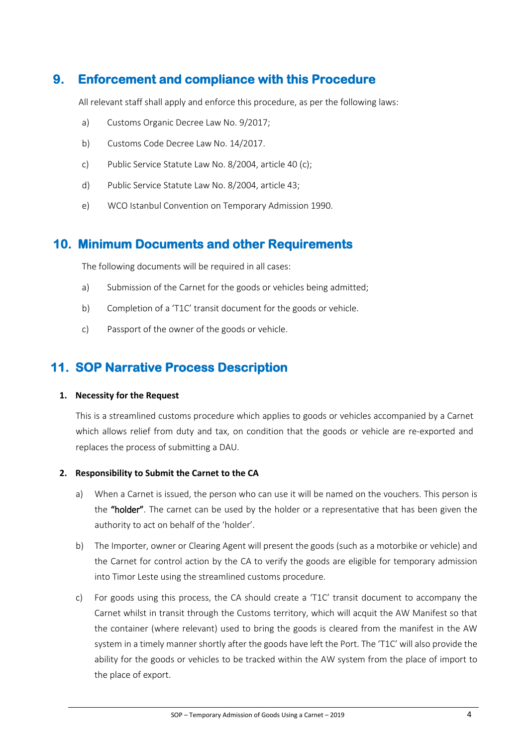## **9. Enforcement and compliance with this Procedure**

All relevant staff shall apply and enforce this procedure, as per the following laws:

- a) Customs Organic Decree Law No. 9/2017;
- b) Customs Code Decree Law No. 14/2017.
- c) Public Service Statute Law No. 8/2004, article 40 (c);
- d) Public Service Statute Law No. 8/2004, article 43;
- e) WCO Istanbul Convention on Temporary Admission 1990.

## **10. Minimum Documents and other Requirements**

The following documents will be required in all cases:

- a) Submission of the Carnet for the goods or vehicles being admitted;
- b) Completion of a 'T1C' transit document for the goods or vehicle.
- c) Passport of the owner of the goods or vehicle.

## **11. SOP Narrative Process Description**

#### **1. Necessity for the Request**

This is a streamlined customs procedure which applies to goods or vehicles accompanied by a Carnet which allows relief from duty and tax, on condition that the goods or vehicle are re-exported and replaces the process of submitting a DAU.

#### **2. Responsibility to Submit the Carnet to the CA**

- a) When a Carnet is issued, the person who can use it will be named on the vouchers. This person is the "holder". The carnet can be used by the holder or a representative that has been given the authority to act on behalf of the 'holder'.
- b) The Importer, owner or Clearing Agent will present the goods (such as a motorbike or vehicle) and the Carnet for control action by the CA to verify the goods are eligible for temporary admission into Timor Leste using the streamlined customs procedure.
- c) For goods using this process, the CA should create a 'T1C' transit document to accompany the Carnet whilst in transit through the Customs territory, which will acquit the AW Manifest so that the container (where relevant) used to bring the goods is cleared from the manifest in the AW system in a timely manner shortly after the goods have left the Port. The 'T1C' will also provide the ability for the goods or vehicles to be tracked within the AW system from the place of import to the place of export.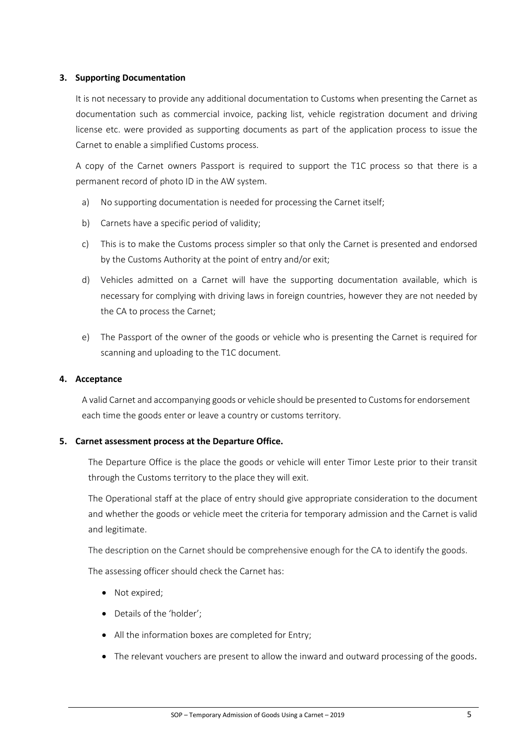#### **3. Supporting Documentation**

It is not necessary to provide any additional documentation to Customs when presenting the Carnet as documentation such as commercial invoice, packing list, vehicle registration document and driving license etc. were provided as supporting documents as part of the application process to issue the Carnet to enable a simplified Customs process.

A copy of the Carnet owners Passport is required to support the T1C process so that there is a permanent record of photo ID in the AW system.

- a) No supporting documentation is needed for processing the Carnet itself;
- b) Carnets have a specific period of validity;
- c) This is to make the Customs process simpler so that only the Carnet is presented and endorsed by the Customs Authority at the point of entry and/or exit;
- d) Vehicles admitted on a Carnet will have the supporting documentation available, which is necessary for complying with driving laws in foreign countries, however they are not needed by the CA to process the Carnet;
- e) The Passport of the owner of the goods or vehicle who is presenting the Carnet is required for scanning and uploading to the T1C document.

#### **4. Acceptance**

A valid Carnet and accompanying goods or vehicle should be presented to Customs for endorsement each time the goods enter or leave a country or customs territory.

#### **5. Carnet assessment process at the Departure Office.**

The Departure Office is the place the goods or vehicle will enter Timor Leste prior to their transit through the Customs territory to the place they will exit.

The Operational staff at the place of entry should give appropriate consideration to the document and whether the goods or vehicle meet the criteria for temporary admission and the Carnet is valid and legitimate.

The description on the Carnet should be comprehensive enough for the CA to identify the goods.

The assessing officer should check the Carnet has:

- Not expired:
- Details of the 'holder';
- All the information boxes are completed for Entry;
- The relevant vouchers are present to allow the inward and outward processing of the goods.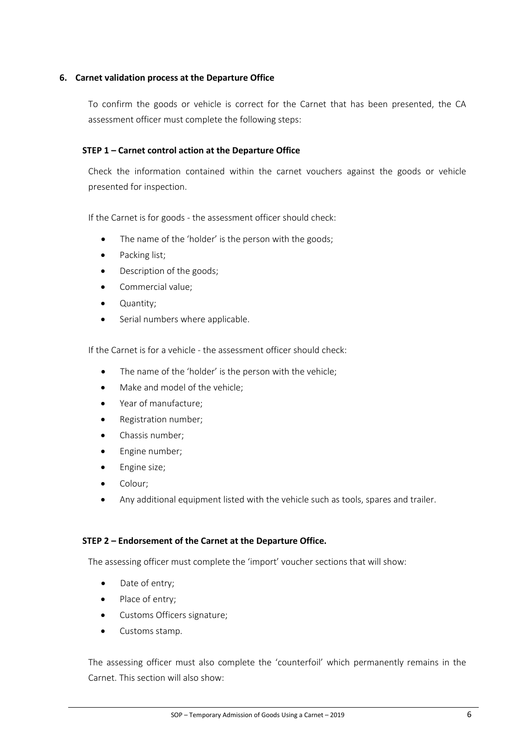#### **6. Carnet validation process at the Departure Office**

To confirm the goods or vehicle is correct for the Carnet that has been presented, the CA assessment officer must complete the following steps:

#### **STEP 1 – Carnet control action at the Departure Office**

Check the information contained within the carnet vouchers against the goods or vehicle presented for inspection.

If the Carnet is for goods - the assessment officer should check:

- The name of the 'holder' is the person with the goods;
- Packing list;
- Description of the goods;
- Commercial value;
- Quantity;
- Serial numbers where applicable.

If the Carnet is for a vehicle - the assessment officer should check:

- The name of the 'holder' is the person with the vehicle;
- Make and model of the vehicle:
- Year of manufacture;
- Registration number;
- Chassis number;
- Engine number;
- Engine size;
- Colour;
- Any additional equipment listed with the vehicle such as tools, spares and trailer.

#### **STEP 2 – Endorsement of the Carnet at the Departure Office.**

The assessing officer must complete the 'import' voucher sections that will show:

- Date of entry;
- Place of entry;
- Customs Officers signature;
- Customs stamp.

The assessing officer must also complete the 'counterfoil' which permanently remains in the Carnet. This section will also show: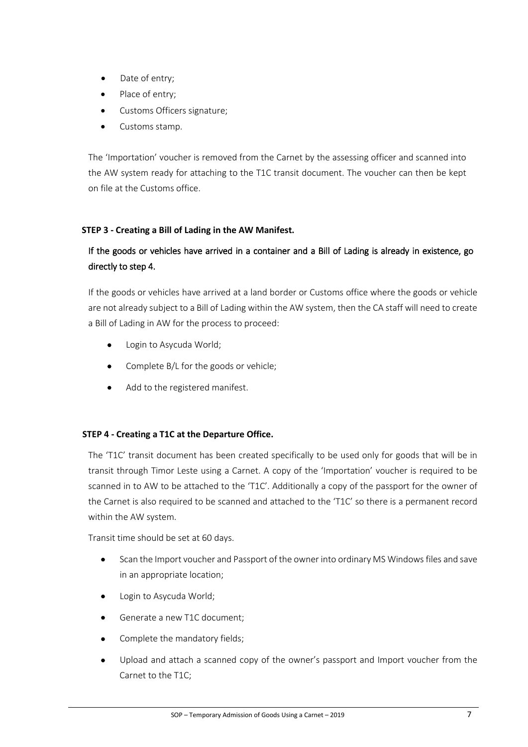- Date of entry;
- Place of entry;
- Customs Officers signature;
- Customs stamp.

The 'Importation' voucher is removed from the Carnet by the assessing officer and scanned into the AW system ready for attaching to the T1C transit document. The voucher can then be kept on file at the Customs office.

#### **STEP 3 - Creating a Bill of Lading in the AW Manifest.**

#### If the goods or vehicles have arrived in a container and a Bill of Lading is already in existence, go directly to step 4.

If the goods or vehicles have arrived at a land border or Customs office where the goods or vehicle are not already subject to a Bill of Lading within the AW system, then the CA staff will need to create a Bill of Lading in AW for the process to proceed:

- Login to Asycuda World;
- Complete B/L for the goods or vehicle;
- Add to the registered manifest.

#### **STEP 4 - Creating a T1C at the Departure Office.**

The 'T1C' transit document has been created specifically to be used only for goods that will be in transit through Timor Leste using a Carnet. A copy of the 'Importation' voucher is required to be scanned in to AW to be attached to the 'T1C'. Additionally a copy of the passport for the owner of the Carnet is also required to be scanned and attached to the 'T1C' so there is a permanent record within the AW system.

Transit time should be set at 60 days.

- Scan the Import voucher and Passport of the owner into ordinary MS Windows files and save in an appropriate location;
- Login to Asycuda World;
- Generate a new T1C document;
- Complete the mandatory fields;
- Upload and attach a scanned copy of the owner's passport and Import voucher from the Carnet to the T1C;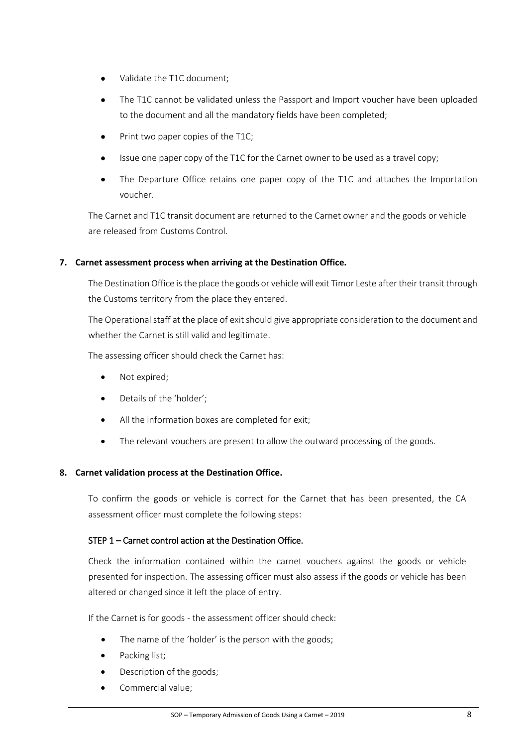- Validate the T1C document;
- The T1C cannot be validated unless the Passport and Import voucher have been uploaded to the document and all the mandatory fields have been completed;
- Print two paper copies of the T1C;
- Issue one paper copy of the T1C for the Carnet owner to be used as a travel copy;
- The Departure Office retains one paper copy of the T1C and attaches the Importation voucher.

The Carnet and T1C transit document are returned to the Carnet owner and the goods or vehicle are released from Customs Control.

#### **7. Carnet assessment process when arriving at the Destination Office.**

The Destination Office is the place the goods or vehicle will exit Timor Leste after their transit through the Customs territory from the place they entered.

The Operational staff at the place of exit should give appropriate consideration to the document and whether the Carnet is still valid and legitimate.

The assessing officer should check the Carnet has:

- Not expired;
- Details of the 'holder';
- All the information boxes are completed for exit;
- The relevant vouchers are present to allow the outward processing of the goods.

#### **8. Carnet validation process at the Destination Office.**

To confirm the goods or vehicle is correct for the Carnet that has been presented, the CA assessment officer must complete the following steps:

#### STEP 1 – Carnet control action at the Destination Office.

Check the information contained within the carnet vouchers against the goods or vehicle presented for inspection. The assessing officer must also assess if the goods or vehicle has been altered or changed since it left the place of entry.

If the Carnet is for goods - the assessment officer should check:

- The name of the 'holder' is the person with the goods;
- Packing list;
- Description of the goods;
- Commercial value;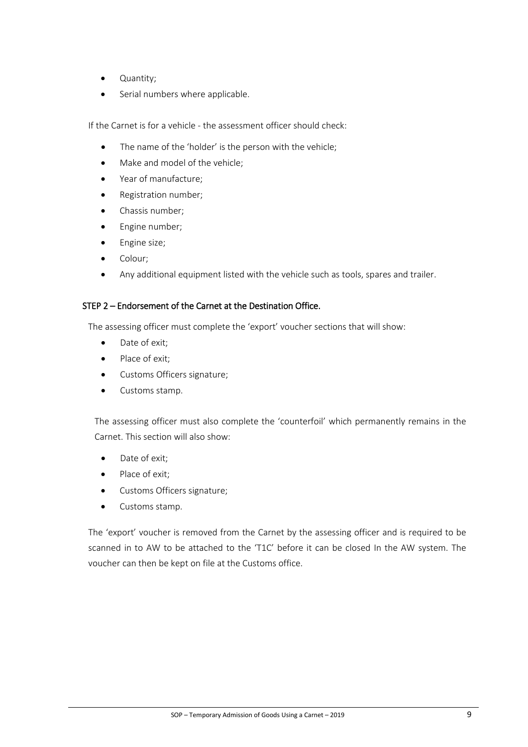- Quantity;
- Serial numbers where applicable.

If the Carnet is for a vehicle - the assessment officer should check:

- The name of the 'holder' is the person with the vehicle;
- Make and model of the vehicle:
- Year of manufacture;
- Registration number;
- Chassis number;
- Engine number;
- Engine size;
- Colour;
- Any additional equipment listed with the vehicle such as tools, spares and trailer.

#### STEP 2 – Endorsement of the Carnet at the Destination Office.

The assessing officer must complete the 'export' voucher sections that will show:

- Date of exit;
- Place of exit;
- Customs Officers signature;
- Customs stamp.

The assessing officer must also complete the 'counterfoil' which permanently remains in the Carnet. This section will also show:

- Date of exit;
- Place of exit;
- Customs Officers signature;
- Customs stamp.

The 'export' voucher is removed from the Carnet by the assessing officer and is required to be scanned in to AW to be attached to the 'T1C' before it can be closed In the AW system. The voucher can then be kept on file at the Customs office.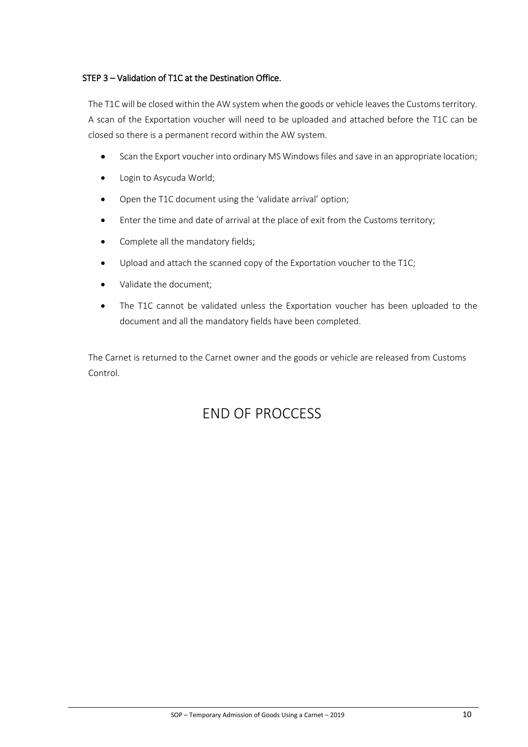#### STEP 3 – Validation of T1C at the Destination Office.

The T1C will be closed within the AW system when the goods or vehicle leaves the Customs territory. A scan of the Exportation voucher will need to be uploaded and attached before the T1C can be closed so there is a permanent record within the AW system.

- Scan the Export voucher into ordinary MS Windows files and save in an appropriate location;
- Login to Asycuda World;
- Open the T1C document using the 'validate arrival' option;
- Enter the time and date of arrival at the place of exit from the Customs territory;
- Complete all the mandatory fields;
- Upload and attach the scanned copy of the Exportation voucher to the T1C;
- Validate the document;
- The T1C cannot be validated unless the Exportation voucher has been uploaded to the document and all the mandatory fields have been completed.

The Carnet is returned to the Carnet owner and the goods or vehicle are released from Customs Control.

## END OF PROCCESS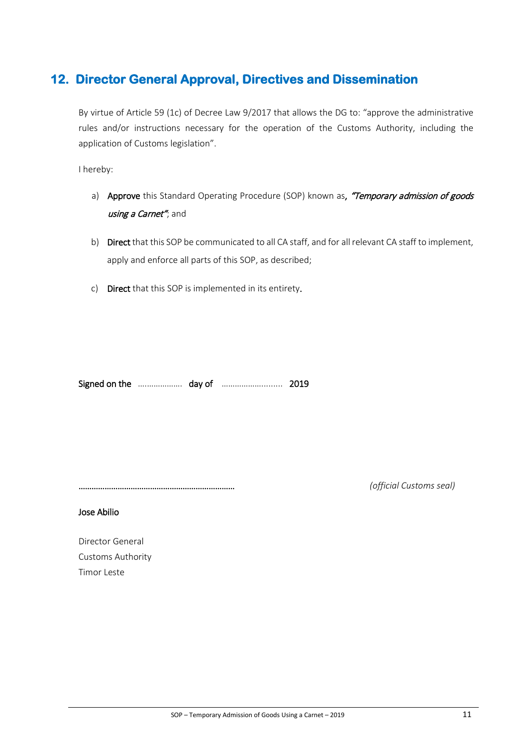## **12. Director General Approval, Directives and Dissemination**

By virtue of Article 59 (1c) of Decree Law 9/2017 that allows the DG to: "approve the administrative rules and/or instructions necessary for the operation of the Customs Authority, including the application of Customs legislation".

I hereby:

- a) Approve this Standard Operating Procedure (SOP) known as, "Temporary admission of goods using a Carnet"; and
- b) Direct that this SOP be communicated to all CA staff, and for all relevant CA staff to implement, apply and enforce all parts of this SOP, as described;
- c) Direct that this SOP is implemented in its entirety.

Signed on the ….……………. day of ………………......... 2019

……………………………………………………………… *(official Customs seal)*

Jose Abilio

Director General Customs Authority Timor Leste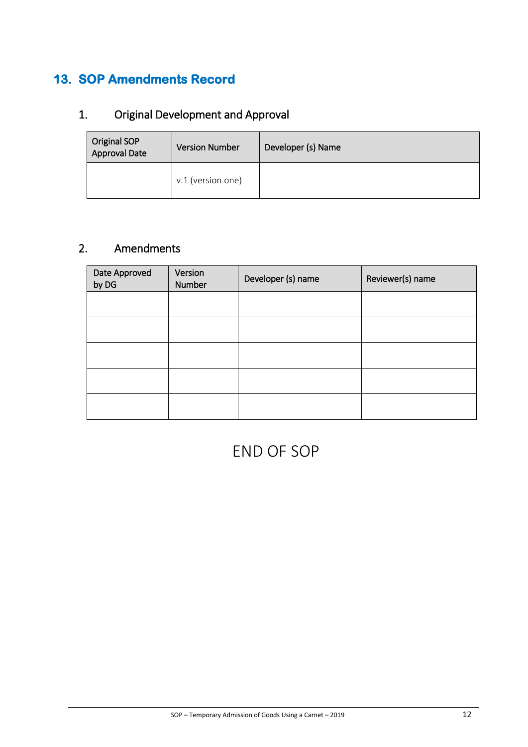## **13. SOP Amendments Record**

## 1. Original Development and Approval

| Original SOP<br><b>Approval Date</b> | <b>Version Number</b> | Developer (s) Name |
|--------------------------------------|-----------------------|--------------------|
|                                      | v.1 (version one)     |                    |

## 2. Amendments

| Date Approved<br>by DG | Version<br>Number | Developer (s) name | Reviewer(s) name |
|------------------------|-------------------|--------------------|------------------|
|                        |                   |                    |                  |
|                        |                   |                    |                  |
|                        |                   |                    |                  |
|                        |                   |                    |                  |
|                        |                   |                    |                  |

## END OF SOP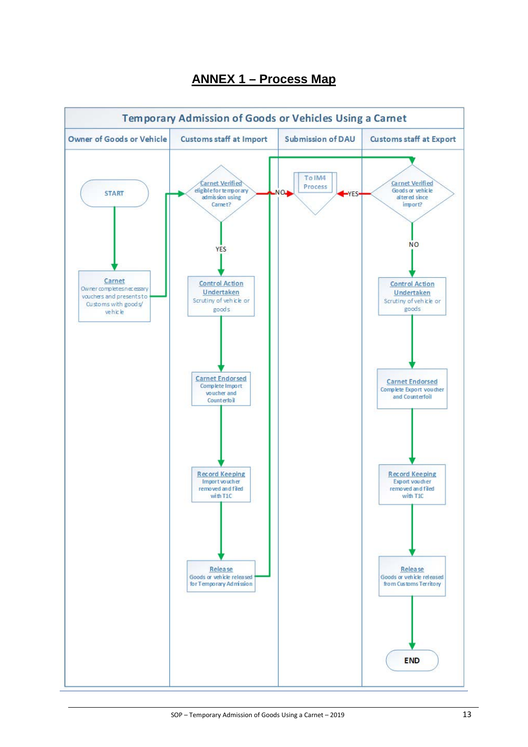

## **ANNEX 1 – Process Map**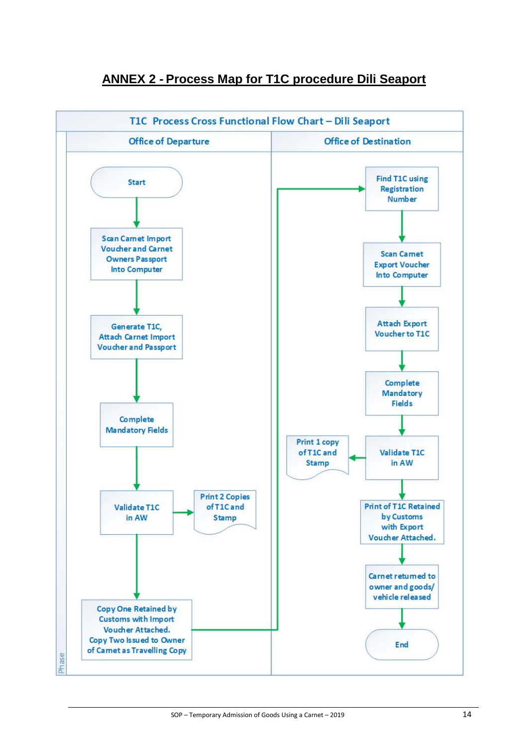

## **ANNEX 2 - Process Map for T1C procedure Dili Seaport**